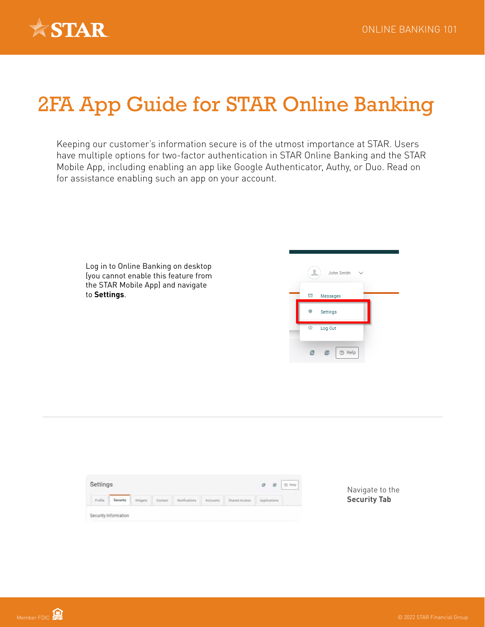

## 2FA App Guide for STAR Online Banking

Keeping our customer's information secure is of the utmost importance at STAR. Users have multiple options for two-factor authentication in STAR Online Banking and the STAR Mobile App, including enabling an app like Google Authenticator, Authy, or Duo. Read on for assistance enabling such an app on your account.

Log in to Online Banking on desktop (you cannot enable this feature from the STAR Mobile App) and navigate to **Settings**.



| Profile |  | Widgets | Corner | <b>Northeations</b> | Accounts | ALCOHOL: AND A POST OF THE<br>Shared Access | Applications |  |
|---------|--|---------|--------|---------------------|----------|---------------------------------------------|--------------|--|
|---------|--|---------|--------|---------------------|----------|---------------------------------------------|--------------|--|

Navigate to the **Security Tab**

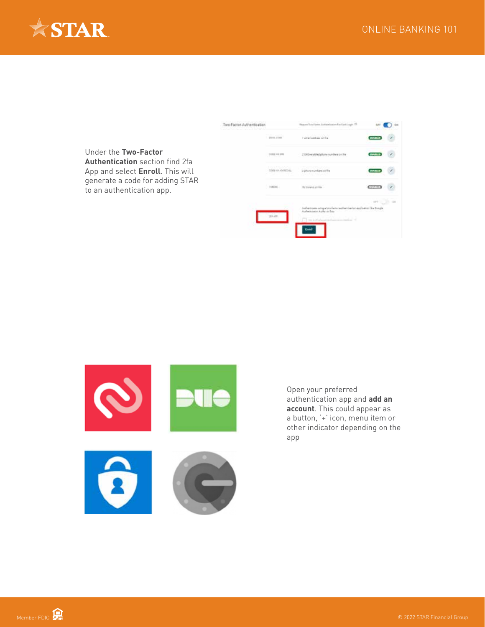





Open your preferred authentication app and **add an account**. This could appear as a button, '+' icon, menu item or other indicator depending on the app